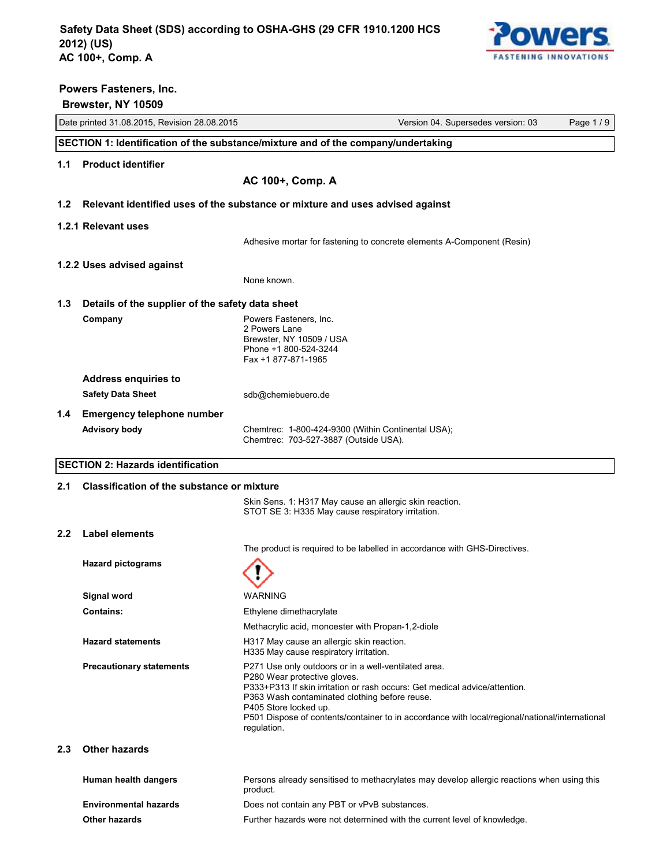

# Date printed 31.08.2015, Revision 28.08.2015 Version 04. Supersedes version: 03 Page 1 / 9 **Powers Fasteners, Inc. Brewster, NY 10509 SECTION 1: Identification of the substance/mixture and of the company/undertaking 1.1 Product identifier AC 100+, Comp. A 1.2 Relevant identified uses of the substance or mixture and uses advised against 1.2.1 Relevant uses** Adhesive mortar for fastening to concrete elements A-Component (Resin) **1.2.2 Uses advised against** None known. **1.3 Details of the supplier of the safety data sheet Company Company Powers Fasteners, Inc.** 2 Powers Lane Brewster, NY 10509 / USA Phone +1 800-524-3244 Fax +1 877-871-1965 **Address enquiries to** Safety Data Sheet sdb@chemiebuero.de **1.4 Emergency telephone number Advisory body** Chemtrec: 1-800-424-9300 (Within Continental USA); Chemtrec: 703-527-3887 (Outside USA). **SECTION 2: Hazards identification 2.1 Classification of the substance or mixture** Skin Sens. 1: H317 May cause an allergic skin reaction. STOT SE 3: H335 May cause respiratory irritation. **2.2 Label elements** The product is required to be labelled in accordance with GHS-Directives. **Hazard pictograms Signal word** WARNING **Contains:** Ethylene dimethacrylate Methacrylic acid, monoester with Propan-1,2-diole **Hazard statements** H317 May cause an allergic skin reaction. H335 May cause respiratory irritation. **Precautionary statements P271 Use only outdoors or in a well-ventilated area.** P280 Wear protective gloves. P333+P313 If skin irritation or rash occurs: Get medical advice/attention. P363 Wash contaminated clothing before reuse.

#### **2.3 Other hazards**

| Human health dangers         | Persons already sensitised to methacrylates may develop allergic reactions when using this<br>product. |
|------------------------------|--------------------------------------------------------------------------------------------------------|
| <b>Environmental hazards</b> | Does not contain any PBT or vPvB substances.                                                           |
| <b>Other hazards</b>         | Further hazards were not determined with the current level of knowledge.                               |

P501 Dispose of contents/container to in accordance with local/regional/national/international

P405 Store locked up.

regulation.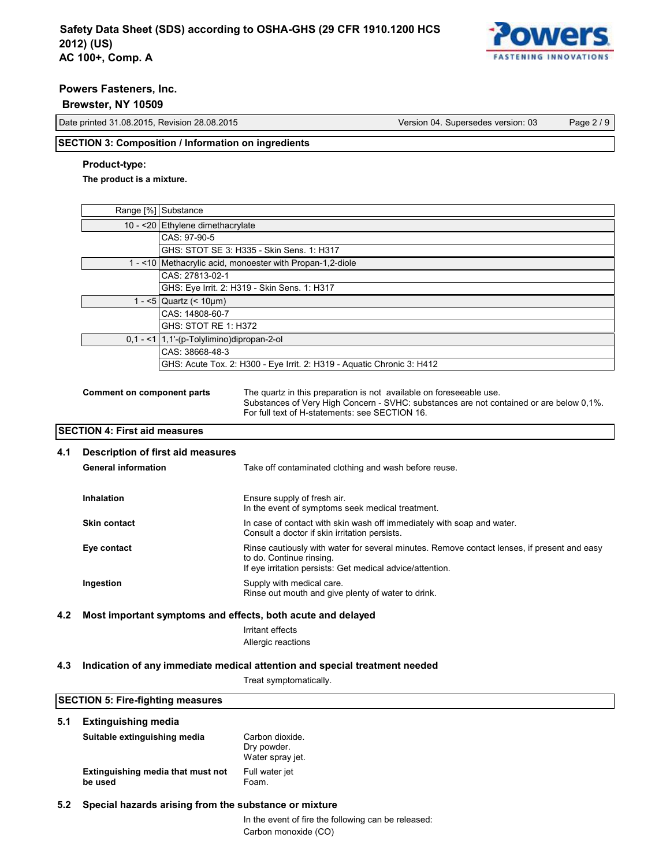

#### **Brewster, NY 10509**

Date printed 31.08.2015, Revision 28.08.2015 Version 04. Supersedes version: 03 Page 2 / 9

# **SECTION 3: Composition / Information on ingredients**

# **Product-type:**

**The product is a mixture.**

|     |                                      | Range [%] Substance                        |                                                                                                                                                                                                                 |
|-----|--------------------------------------|--------------------------------------------|-----------------------------------------------------------------------------------------------------------------------------------------------------------------------------------------------------------------|
|     |                                      | 10 - < 20 Ethylene dimethacrylate          |                                                                                                                                                                                                                 |
|     |                                      | CAS: 97-90-5                               |                                                                                                                                                                                                                 |
|     |                                      |                                            | GHS: STOT SE 3: H335 - Skin Sens. 1: H317                                                                                                                                                                       |
|     |                                      |                                            | 1 - <10 Methacrylic acid, monoester with Propan-1,2-diole                                                                                                                                                       |
|     |                                      | CAS: 27813-02-1                            |                                                                                                                                                                                                                 |
|     |                                      |                                            | GHS: Eye Irrit. 2: H319 - Skin Sens. 1: H317                                                                                                                                                                    |
|     |                                      | 1 - <5   Quartz $(< 10 \mu m)$             |                                                                                                                                                                                                                 |
|     |                                      | CAS: 14808-60-7                            |                                                                                                                                                                                                                 |
|     |                                      | GHS: STOT RE 1: H372                       |                                                                                                                                                                                                                 |
|     |                                      | $0,1 - 1$ 1,1'-(p-Tolylimino)dipropan-2-ol |                                                                                                                                                                                                                 |
|     |                                      | CAS: 38668-48-3                            |                                                                                                                                                                                                                 |
|     |                                      |                                            | GHS: Acute Tox. 2: H300 - Eye Irrit. 2: H319 - Aquatic Chronic 3: H412                                                                                                                                          |
|     |                                      |                                            |                                                                                                                                                                                                                 |
|     | <b>Comment on component parts</b>    |                                            | The quartz in this preparation is not available on foreseeable use.<br>Substances of Very High Concern - SVHC: substances are not contained or are below 0,1%.<br>For full text of H-statements: see SECTION 16 |
|     | <b>SECTION 4: First aid measures</b> |                                            |                                                                                                                                                                                                                 |
| 4.1 |                                      | Description of first aid measures          |                                                                                                                                                                                                                 |
|     | <b>General information</b>           |                                            | Take off contaminated clothing and wash before reuse.                                                                                                                                                           |
|     |                                      |                                            |                                                                                                                                                                                                                 |
|     | <b>Inhalation</b>                    |                                            | Ensure supply of fresh air.                                                                                                                                                                                     |

| .                                                |  |
|--------------------------------------------------|--|
| In the event of symptoms seek medical treatment. |  |

| <b>Skin contact</b> | In case of contact with skin wash off immediately with soap and water.<br>Consult a doctor if skin irritation persists.                                                              |
|---------------------|--------------------------------------------------------------------------------------------------------------------------------------------------------------------------------------|
| Eye contact         | Rinse cautiously with water for several minutes. Remove contact lenses, if present and easy<br>to do. Continue rinsing.<br>If eye irritation persists: Get medical advice/attention. |
| Ingestion           | Supply with medical care.<br>Rinse out mouth and give plenty of water to drink.                                                                                                      |

### **4.2 Most important symptoms and effects, both acute and delayed**

Irritant effects Allergic reactions

# **4.3 Indication of any immediate medical attention and special treatment needed**

Treat symptomatically.

| 5.1 | Extinguishing media                          |                                                    |
|-----|----------------------------------------------|----------------------------------------------------|
|     | Suitable extinguishing media                 | Carbon dioxide.<br>Dry powder.<br>Water spray jet. |
|     | Extinguishing media that must not<br>be used | Full water jet<br>Foam.                            |

# **5.2 Special hazards arising from the substance or mixture**

In the event of fire the following can be released: Carbon monoxide (CO)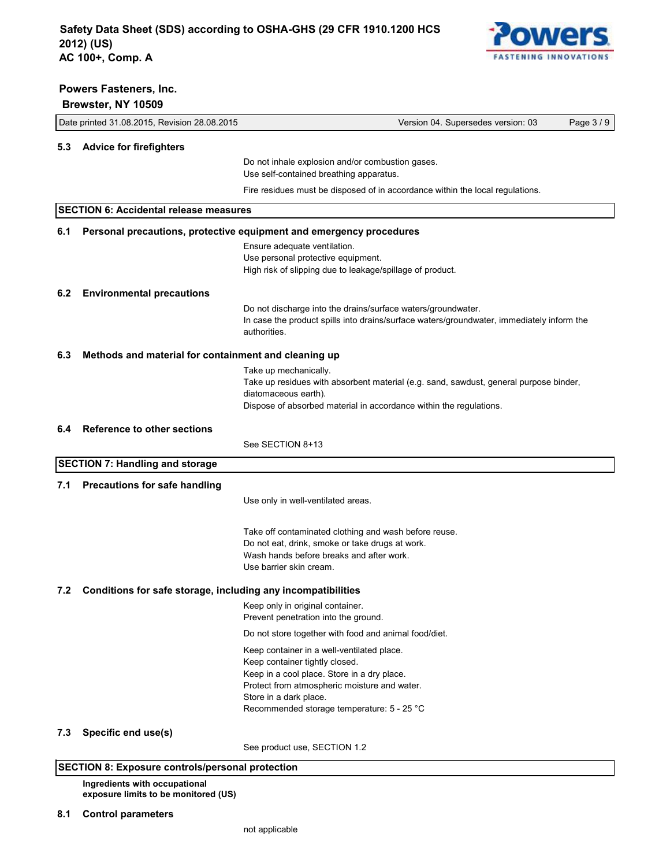

|     | Brewster, NY 10509                                           |                                                                                                               |          |
|-----|--------------------------------------------------------------|---------------------------------------------------------------------------------------------------------------|----------|
|     | Date printed 31.08.2015, Revision 28.08.2015                 | Version 04. Supersedes version: 03                                                                            | Page 3/9 |
|     | 5.3 Advice for firefighters                                  |                                                                                                               |          |
|     |                                                              | Do not inhale explosion and/or combustion gases.                                                              |          |
|     |                                                              | Use self-contained breathing apparatus.                                                                       |          |
|     |                                                              | Fire residues must be disposed of in accordance within the local regulations.                                 |          |
|     | <b>SECTION 6: Accidental release measures</b>                |                                                                                                               |          |
| 6.1 |                                                              | Personal precautions, protective equipment and emergency procedures                                           |          |
|     |                                                              | Ensure adequate ventilation.                                                                                  |          |
|     |                                                              | Use personal protective equipment.<br>High risk of slipping due to leakage/spillage of product.               |          |
| 6.2 | <b>Environmental precautions</b>                             |                                                                                                               |          |
|     |                                                              | Do not discharge into the drains/surface waters/groundwater.                                                  |          |
|     |                                                              | In case the product spills into drains/surface waters/groundwater, immediately inform the                     |          |
|     |                                                              | authorities.                                                                                                  |          |
| 6.3 | Methods and material for containment and cleaning up         |                                                                                                               |          |
|     |                                                              | Take up mechanically.                                                                                         |          |
|     |                                                              | Take up residues with absorbent material (e.g. sand, sawdust, general purpose binder,<br>diatomaceous earth). |          |
|     |                                                              | Dispose of absorbed material in accordance within the regulations.                                            |          |
| 6.4 | <b>Reference to other sections</b>                           |                                                                                                               |          |
|     |                                                              | See SECTION 8+13                                                                                              |          |
|     | <b>SECTION 7: Handling and storage</b>                       |                                                                                                               |          |
| 7.1 | <b>Precautions for safe handling</b>                         |                                                                                                               |          |
|     |                                                              | Use only in well-ventilated areas.                                                                            |          |
|     |                                                              |                                                                                                               |          |
|     |                                                              | Take off contaminated clothing and wash before reuse.                                                         |          |
|     |                                                              | Do not eat, drink, smoke or take drugs at work.<br>Wash hands before breaks and after work.                   |          |
|     |                                                              | Use barrier skin cream.                                                                                       |          |
| 7.2 | Conditions for safe storage, including any incompatibilities |                                                                                                               |          |
|     |                                                              | Keep only in original container.                                                                              |          |
|     |                                                              | Prevent penetration into the ground.                                                                          |          |
|     |                                                              | Do not store together with food and animal food/diet.                                                         |          |
|     |                                                              | Keep container in a well-ventilated place.<br>Keep container tightly closed.                                  |          |
|     |                                                              | Keep in a cool place. Store in a dry place.                                                                   |          |
|     |                                                              | Protect from atmospheric moisture and water.                                                                  |          |
|     |                                                              | Store in a dark place.<br>Recommended storage temperature: 5 - 25 °C                                          |          |
|     |                                                              |                                                                                                               |          |
| 7.3 | Specific end use(s)                                          |                                                                                                               |          |
|     |                                                              | See product use, SECTION 1.2                                                                                  |          |

# **SECTION 8: Exposure controls/personal protection**

**Ingredients with occupational exposure limits to be monitored (US)**

**8.1 Control parameters**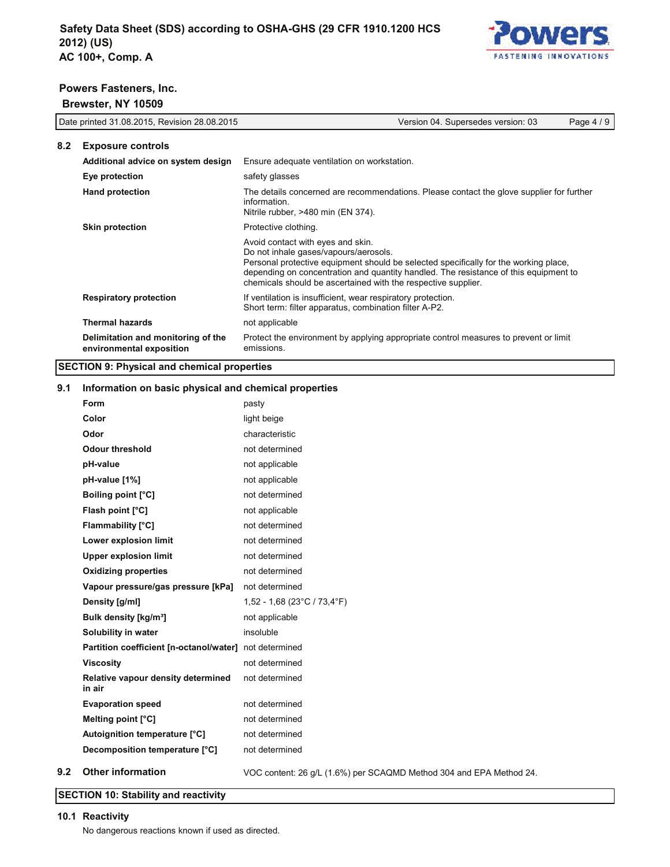

#### **Powers Fasteners, Inc. Powers Fasteners, I**I

**Brewster, NY 10509** Date printed 31.08.2015 Version: 03 Page 4 / 9 Page 4 / 9 Page 4 / 9 Page 4 / 9 Page 4 / 9 Page 4 / 9 Page 4 / 9 Page 4 / 9 Page 4 / 9 Page 4 / 9 Page 4 / 9 Page 4 / 9 Page 4 / 9 Page 4 / 9 Page 4 / 9

| Date printed 31.08.2015, Revision 28.08.2015 |                                                                | Version 04. Supersedes version: 03<br>Page 4/9                                                                                                                                                                                                                                                                              |
|----------------------------------------------|----------------------------------------------------------------|-----------------------------------------------------------------------------------------------------------------------------------------------------------------------------------------------------------------------------------------------------------------------------------------------------------------------------|
| 8.2                                          | <b>Exposure controls</b>                                       |                                                                                                                                                                                                                                                                                                                             |
|                                              | Additional advice on system design                             | Ensure adequate ventilation on workstation.                                                                                                                                                                                                                                                                                 |
|                                              | Eye protection                                                 | safety glasses                                                                                                                                                                                                                                                                                                              |
|                                              | <b>Hand protection</b>                                         | The details concerned are recommendations. Please contact the glove supplier for further<br>information.<br>Nitrile rubber, >480 min (EN 374).                                                                                                                                                                              |
|                                              | <b>Skin protection</b>                                         | Protective clothing.                                                                                                                                                                                                                                                                                                        |
|                                              |                                                                | Avoid contact with eyes and skin.<br>Do not inhale gases/vapours/aerosols.<br>Personal protective equipment should be selected specifically for the working place,<br>depending on concentration and quantity handled. The resistance of this equipment to<br>chemicals should be ascertained with the respective supplier. |
|                                              | <b>Respiratory protection</b>                                  | If ventilation is insufficient, wear respiratory protection.<br>Short term: filter apparatus, combination filter A-P2.                                                                                                                                                                                                      |
|                                              | <b>Thermal hazards</b>                                         | not applicable                                                                                                                                                                                                                                                                                                              |
|                                              | Delimitation and monitoring of the<br>environmental exposition | Protect the environment by applying appropriate control measures to prevent or limit<br>emissions.                                                                                                                                                                                                                          |

#### **SECTION 9: Physical and chemical properties 9.1 Information on basic physical and chemical properties**

# **9.1** Information on basic physical and chemical properties

|     | Form                                                   | pasty                                                               |
|-----|--------------------------------------------------------|---------------------------------------------------------------------|
|     | Color                                                  | light beige                                                         |
|     | Odor                                                   | characteristic                                                      |
|     | <b>Odour threshold</b>                                 | not determined                                                      |
|     | pH-value                                               | not applicable                                                      |
|     | pH-value [1%]                                          | not applicable                                                      |
|     | <b>Boiling point [°C]</b>                              | not determined                                                      |
|     | Flash point [°C]                                       | not applicable                                                      |
|     | Flammability [°C]                                      | not determined                                                      |
|     | Lower explosion limit                                  | not determined                                                      |
|     | <b>Upper explosion limit</b>                           | not determined                                                      |
|     | <b>Oxidizing properties</b>                            | not determined                                                      |
|     | Vapour pressure/gas pressure [kPa]                     | not determined                                                      |
|     | Density [g/ml]                                         | 1,52 - 1,68 (23°C / 73,4°F)                                         |
|     | Bulk density [kg/m <sup>3</sup> ]                      | not applicable                                                      |
|     | Solubility in water                                    | insoluble                                                           |
|     | Partition coefficient [n-octanol/water] not determined |                                                                     |
|     | <b>Viscosity</b>                                       | not determined                                                      |
|     | Relative vapour density determined<br>in air           | not determined                                                      |
|     | <b>Evaporation speed</b>                               | not determined                                                      |
|     | Melting point [°C]                                     | not determined                                                      |
|     | Autoignition temperature [°C]                          | not determined                                                      |
|     | Decomposition temperature [°C]                         | not determined                                                      |
| 9.2 | <b>Other information</b>                               | VOC content: 26 g/L (1.6%) per SCAQMD Method 304 and EPA Method 24. |

**SECTION 10: Stability and reactivity SECTION 10: Stability and reactivity SECTION 10: Stability and reactivity**

#### **SECTION 10: Stability and reactivity 10.1 Reactivity 10.1 Reactivity 10.1 Reactivity**

**10.1 Reactivity** No dangerous reactions known if used as directed. No dangerous reactions known if used as directed. No dangerous reactions known if used as directed.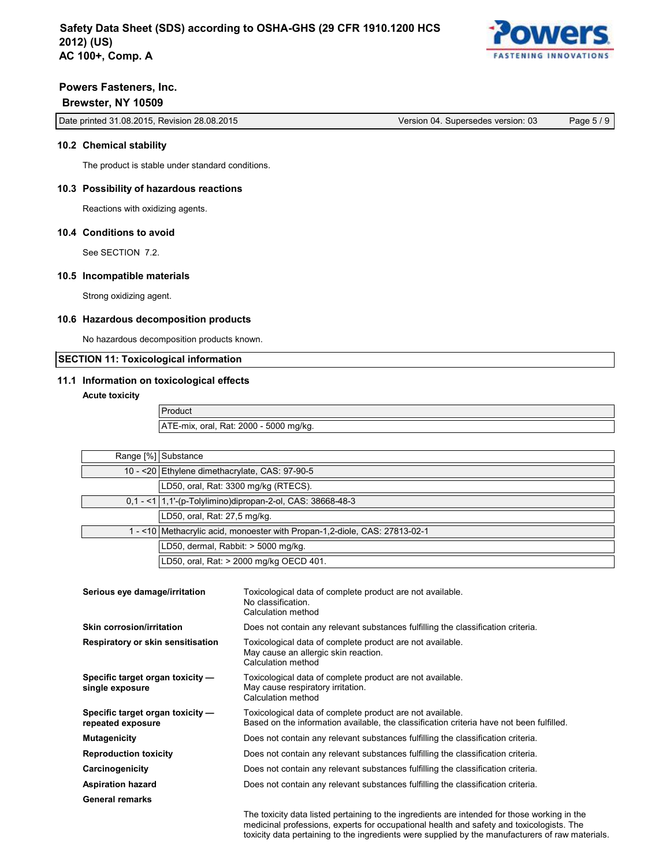

# **Powers Fasteners, Inc. Brewster, NY 10509**

|  | Date printed 31.08.2015, Revision 28.08.2015 | Version 04. Supersedes version: 03 | Page 5 / 9 |
|--|----------------------------------------------|------------------------------------|------------|
|--|----------------------------------------------|------------------------------------|------------|

# **10.2 Chemical stability**

The product is stable under standard conditions.

### **10.3 Possibility of hazardous reactions**

Reactions with oxidizing agents.

# **10.4 Conditions to avoid**

See SECTION 7.2.

#### **10.5 Incompatible materials**

Strong oxidizing agent.

# **10.6 Hazardous decomposition products**

No hazardous decomposition products known.

# **SECTION 11: Toxicological information**

# **11.1 Information on toxicological effects**

**Acute toxicity**

Product ATE-mix, oral, Rat: 2000 - 5000 mg/kg.

| Range [%] Substance                                                      |
|--------------------------------------------------------------------------|
| 10 - < 20 Ethylene dimethacrylate, CAS: 97-90-5                          |
| LD50, oral, Rat: 3300 mg/kg (RTECS).                                     |
| $0,1 - 1$ 1,1'-(p-Tolylimino)dipropan-2-ol, CAS: 38668-48-3              |
| LD50, oral, Rat: 27,5 mg/kg.                                             |
| 1-<10 Methacrylic acid, monoester with Propan-1,2-diole, CAS: 27813-02-1 |
| LD50, dermal, Rabbit: > 5000 mg/kg.                                      |
| LD50, oral, Rat: > 2000 mg/kg OECD 401.                                  |
|                                                                          |

| Serious eye damage/irritation                         | Toxicological data of complete product are not available.<br>No classification.<br>Calculation method                                                 |
|-------------------------------------------------------|-------------------------------------------------------------------------------------------------------------------------------------------------------|
| <b>Skin corrosion/irritation</b>                      | Does not contain any relevant substances fulfilling the classification criteria.                                                                      |
| Respiratory or skin sensitisation                     | Toxicological data of complete product are not available.<br>May cause an allergic skin reaction.<br>Calculation method                               |
| Specific target organ toxicity -<br>single exposure   | Toxicological data of complete product are not available.<br>May cause respiratory irritation.<br>Calculation method                                  |
| Specific target organ toxicity -<br>repeated exposure | Toxicological data of complete product are not available.<br>Based on the information available, the classification criteria have not been fulfilled. |
| <b>Mutagenicity</b>                                   | Does not contain any relevant substances fulfilling the classification criteria.                                                                      |
| <b>Reproduction toxicity</b>                          | Does not contain any relevant substances fulfilling the classification criteria.                                                                      |
| Carcinogenicity                                       | Does not contain any relevant substances fulfilling the classification criteria.                                                                      |
| <b>Aspiration hazard</b>                              | Does not contain any relevant substances fulfilling the classification criteria.                                                                      |
| <b>General remarks</b>                                |                                                                                                                                                       |
|                                                       | The toxicity data listed pertaining to the ingredients are intended for those working in the                                                          |

medicinal professions, experts for occupational health and safety and toxicologists. The toxicity data pertaining to the ingredients were supplied by the manufacturers of raw materials.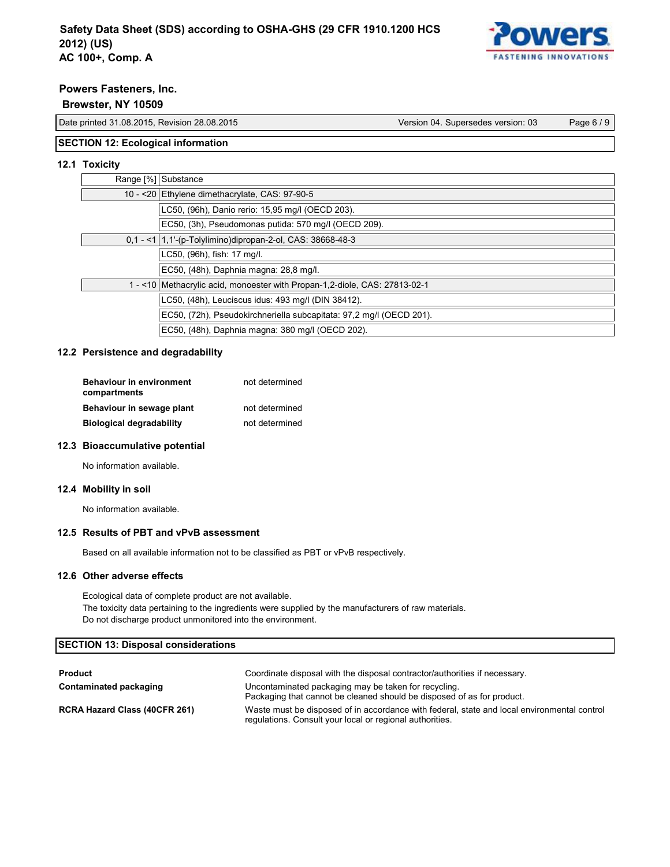

# **Brewster, NY 10509**

Date printed 31.08.2015, Revision 28.08.2015 Version 04. Supersedes version: 03 Page 6 / 9

# **SECTION 12: Ecological information**

# **12.1 Toxicity**

| Range [%] Substance                                                      |
|--------------------------------------------------------------------------|
| 10 - < 20 Ethylene dimethacrylate, CAS: 97-90-5                          |
| LC50, (96h), Danio rerio: 15,95 mg/l (OECD 203).                         |
| EC50, (3h), Pseudomonas putida: 570 mg/l (OECD 209).                     |
| $0,1 - 1$ 1,1'-(p-Tolylimino)dipropan-2-ol, CAS: 38668-48-3              |
| LC50, (96h), fish: 17 mg/l.                                              |
| EC50, (48h), Daphnia magna: 28,8 mg/l.                                   |
| 1-<10 Methacrylic acid, monoester with Propan-1,2-diole, CAS: 27813-02-1 |
| LC50, (48h), Leuciscus idus: 493 mg/l (DIN 38412).                       |
| EC50, (72h), Pseudokirchneriella subcapitata: 97,2 mg/l (OECD 201).      |
| EC50, (48h), Daphnia magna: 380 mg/l (OECD 202).                         |

### **12.2 Persistence and degradability**

| <b>Behaviour in environment</b><br>compartments | not determined |
|-------------------------------------------------|----------------|
| Behaviour in sewage plant                       | not determined |
| <b>Biological degradability</b>                 | not determined |

# **12.3 Bioaccumulative potential**

No information available.

# **12.4 Mobility in soil**

No information available.

# **12.5 Results of PBT and vPvB assessment**

Based on all available information not to be classified as PBT or vPvB respectively.

#### **12.6 Other adverse effects**

Ecological data of complete product are not available. The toxicity data pertaining to the ingredients were supplied by the manufacturers of raw materials. Do not discharge product unmonitored into the environment.

# **SECTION 13: Disposal considerations**

| <b>Product</b>                | Coordinate disposal with the disposal contractor/authorities if necessary.                                                                              |
|-------------------------------|---------------------------------------------------------------------------------------------------------------------------------------------------------|
| Contaminated packaging        | Uncontaminated packaging may be taken for recycling.<br>Packaging that cannot be cleaned should be disposed of as for product.                          |
| RCRA Hazard Class (40CFR 261) | Waste must be disposed of in accordance with federal, state and local environmental control<br>regulations. Consult your local or regional authorities. |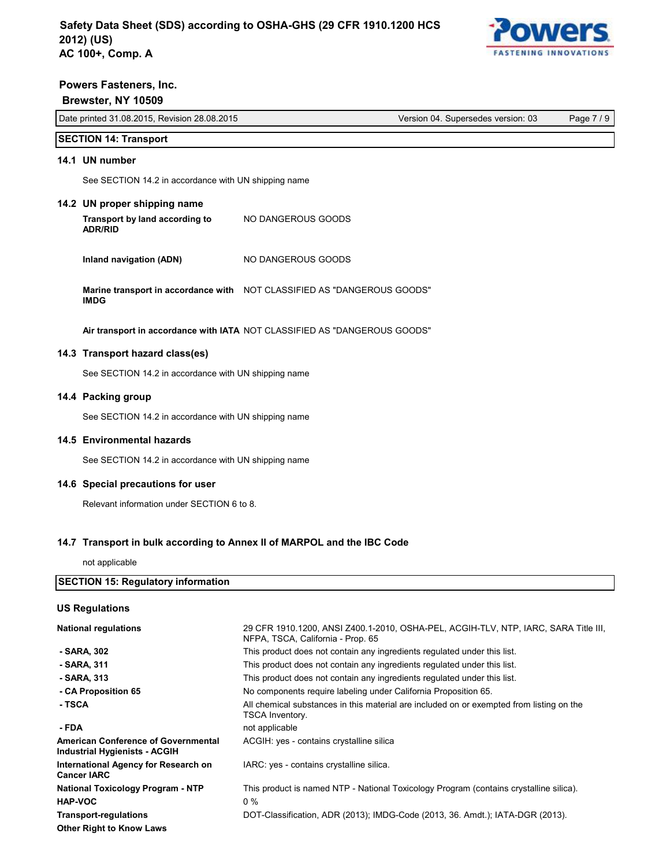

# **Powers Fasteners, Inc. Brewster, NY 10509** Date printed 31.08.2015, Revision 28.08.2015 Version 04. Supersedes version: 03 Page 7 / 9

Date printed 31.08.2015, Revision 28.08.2015 **Version 04. Supersedes version: 03** Page 7 / 9

### **SECTION 14: Transport 14.1 UN number** See Section 14.2 in accordance with UN shipping name with UN shipping name with UN shipping name with UN shipping name with UN shipping name with UN shipping name with UN shipping name with UN shipping name with UN shippin

See SECTION 14.2 in accordance with UN shipping name

# **14.2 UN proper shipping name Transport by land according to**

- **Transport by land according to ADR/RID** NO DANGEROUS GOODS
- **Inland navigation (ADN)** NO DANGEROUS GOODS

Marine transport in accordance with NOT CLASSIFIED AS "DANGEROUS GOODS" **IMDG**

**Air transport in accordance with IATA** NOT CLASSIFIED AS "DANGEROUS GOODS" **14.3 Transport hazard class(es)**

# 14.3  $\;$  Transport hazard class(es)

See SECTION 14.2 in accordance with UN shipping name

# **14.4 Packing group**

See SECTION 14.2 in accordance with UN shipping name

# **14.5 Environmental hazards**

See SECTION 14.2 in accordance with UN shipping name

# 14.6 Special precautions for user

Relevant information under SECTION 6 to 8.

# 14.7 Transport in bulk according to Annex II of MARPOL and the IBC Code

not applicable

| <b>SECTION 15: Regulatory information</b>                            |                                                                                                                          |
|----------------------------------------------------------------------|--------------------------------------------------------------------------------------------------------------------------|
| US Requlations                                                       |                                                                                                                          |
| <b>National regulations</b>                                          | 29 CFR 1910.1200, ANSI Z400.1-2010, OSHA-PEL, ACGIH-TLV, NTP, IARC, SARA Title III,<br>NFPA, TSCA, California - Prop. 65 |
| - SARA, 302                                                          | This product does not contain any ingredients regulated under this list.                                                 |
| - SARA, 311                                                          | This product does not contain any ingredients regulated under this list.                                                 |
| - SARA, 313                                                          | This product does not contain any ingredients regulated under this list.                                                 |
| - CA Proposition 65                                                  | No components require labeling under California Proposition 65.                                                          |
| - TSCA                                                               | All chemical substances in this material are included on or exempted from listing on the<br>TSCA Inventory.              |
| - FDA                                                                | not applicable                                                                                                           |
| American Conference of Governmental<br>Industrial Hygienists - ACGIH | ACGIH: yes - contains crystalline silica                                                                                 |
| International Agency for Research on<br>Cancer IARC                  | IARC: yes - contains crystalline silica.                                                                                 |
| National Toxicology Program - NTP                                    | This product is named NTP - National Toxicology Program (contains crystalline silica).                                   |
| <b>HAP-VOC</b>                                                       | $0\%$                                                                                                                    |
| <b>Transport-regulations</b>                                         | DOT-Classification, ADR (2013); IMDG-Code (2013, 36. Amdt.); IATA-DGR (2013).                                            |
| Other Right to Know Laws                                             |                                                                                                                          |
|                                                                      |                                                                                                                          |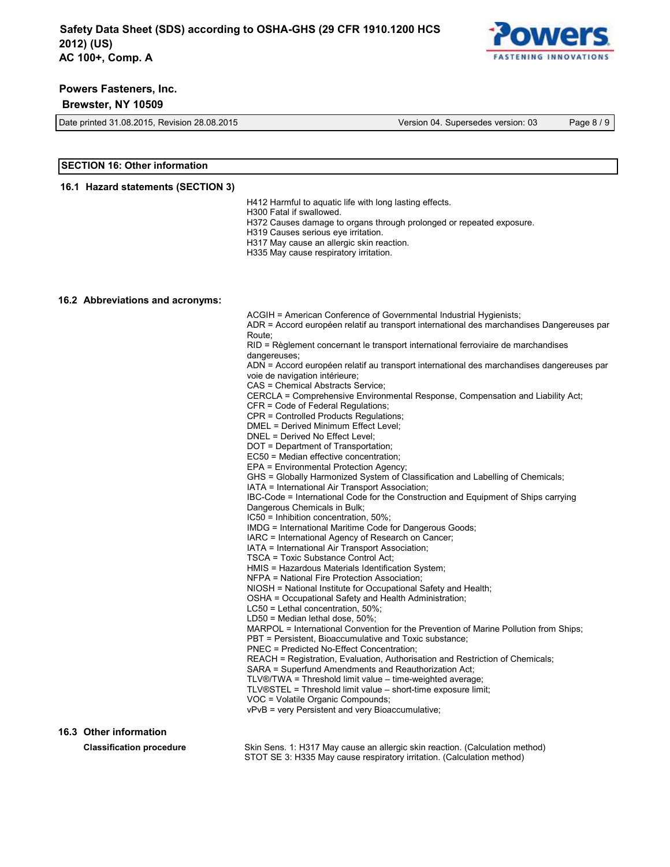

#### **Brewster, NY 10509**

Date printed 31.08.2015, Revision 28.08.2015 Version 04. Supersedes version: 03 Page 8 / 9

### **SECTION 16: Other information**

#### **16.1 Hazard statements (SECTION 3)**

H412 Harmful to aquatic life with long lasting effects.

H300 Fatal if swallowed.

H372 Causes damage to organs through prolonged or repeated exposure.

H319 Causes serious eye irritation.

H317 May cause an allergic skin reaction.

H335 May cause respiratory irritation.

#### **16.2 Abbreviations and acronyms:**

**16.3 Other information** ACGIH = American Conference of Governmental Industrial Hygienists; ADR = Accord européen relatif au transport international des marchandises Dangereuses par Route; RID = Règlement concernant le transport international ferroviaire de marchandises dangereuses; ADN = Accord européen relatif au transport international des marchandises dangereuses par voie de navigation intérieure; CAS = Chemical Abstracts Service; CERCLA = Comprehensive Environmental Response, Compensation and Liability Act; CFR = Code of Federal Regulations; CPR = Controlled Products Regulations; DMEL = Derived Minimum Effect Level; DNEL = Derived No Effect Level; DOT = Department of Transportation; EC50 = Median effective concentration; EPA = Environmental Protection Agency; GHS = Globally Harmonized System of Classification and Labelling of Chemicals; IATA = International Air Transport Association; IBC-Code = International Code for the Construction and Equipment of Ships carrying Dangerous Chemicals in Bulk; IC50 = Inhibition concentration, 50%; IMDG = International Maritime Code for Dangerous Goods; IARC = International Agency of Research on Cancer; IATA = International Air Transport Association; TSCA = Toxic Substance Control Act; HMIS = Hazardous Materials Identification System; NFPA = National Fire Protection Association; NIOSH = National Institute for Occupational Safety and Health; OSHA = Occupational Safety and Health Administration; LC50 = Lethal concentration, 50%; LD50 = Median lethal dose, 50%; MARPOL = International Convention for the Prevention of Marine Pollution from Ships; PBT = Persistent, Bioaccumulative and Toxic substance; PNEC = Predicted No-Effect Concentration; REACH = Registration, Evaluation, Authorisation and Restriction of Chemicals; SARA = Superfund Amendments and Reauthorization Act; TLV®/TWA = Threshold limit value – time-weighted average; TLV®STEL = Threshold limit value – short-time exposure limit; VOC = Volatile Organic Compounds; vPvB = very Persistent and very Bioaccumulative;

**Classification procedure** Skin Sens. 1: H317 May cause an allergic skin reaction. (Calculation method) STOT SE 3: H335 May cause respiratory irritation. (Calculation method)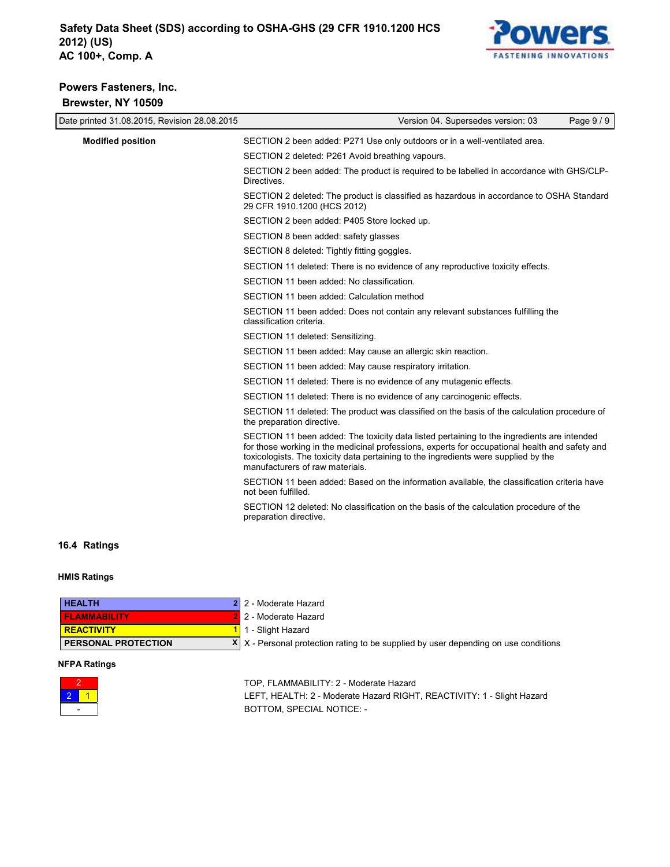

# **Powers Fasteners, Inc. Brewster, NY 10509**

| Date printed 31.08.2015, Revision 28.08.2015 | Page 9/9<br>Version 04. Supersedes version: 03                                                                                                                                                                                                                                                                         |
|----------------------------------------------|------------------------------------------------------------------------------------------------------------------------------------------------------------------------------------------------------------------------------------------------------------------------------------------------------------------------|
| <b>Modified position</b>                     | SECTION 2 been added: P271 Use only outdoors or in a well-ventilated area.                                                                                                                                                                                                                                             |
|                                              | SECTION 2 deleted: P261 Avoid breathing vapours.                                                                                                                                                                                                                                                                       |
|                                              | SECTION 2 been added: The product is required to be labelled in accordance with GHS/CLP-<br>Directives.                                                                                                                                                                                                                |
|                                              | SECTION 2 deleted: The product is classified as hazardous in accordance to OSHA Standard<br>29 CFR 1910.1200 (HCS 2012)                                                                                                                                                                                                |
|                                              | SECTION 2 been added: P405 Store locked up.                                                                                                                                                                                                                                                                            |
|                                              | SECTION 8 been added: safety glasses                                                                                                                                                                                                                                                                                   |
|                                              | SECTION 8 deleted: Tightly fitting goggles.                                                                                                                                                                                                                                                                            |
|                                              | SECTION 11 deleted: There is no evidence of any reproductive toxicity effects.                                                                                                                                                                                                                                         |
|                                              | SECTION 11 been added: No classification.                                                                                                                                                                                                                                                                              |
|                                              | SECTION 11 been added: Calculation method                                                                                                                                                                                                                                                                              |
|                                              | SECTION 11 been added: Does not contain any relevant substances fulfilling the<br>classification criteria.                                                                                                                                                                                                             |
|                                              | SECTION 11 deleted: Sensitizing.                                                                                                                                                                                                                                                                                       |
|                                              | SECTION 11 been added: May cause an allergic skin reaction.                                                                                                                                                                                                                                                            |
|                                              | SECTION 11 been added: May cause respiratory irritation.                                                                                                                                                                                                                                                               |
|                                              | SECTION 11 deleted: There is no evidence of any mutagenic effects.                                                                                                                                                                                                                                                     |
|                                              | SECTION 11 deleted: There is no evidence of any carcinogenic effects.                                                                                                                                                                                                                                                  |
|                                              | SECTION 11 deleted: The product was classified on the basis of the calculation procedure of<br>the preparation directive.                                                                                                                                                                                              |
|                                              | SECTION 11 been added: The toxicity data listed pertaining to the ingredients are intended<br>for those working in the medicinal professions, experts for occupational health and safety and<br>toxicologists. The toxicity data pertaining to the ingredients were supplied by the<br>manufacturers of raw materials. |
|                                              | SECTION 11 been added: Based on the information available, the classification criteria have<br>not been fulfilled.                                                                                                                                                                                                     |
|                                              | SECTION 12 deleted: No classification on the basis of the calculation procedure of the<br>preparation directive.                                                                                                                                                                                                       |
| 16.4 Ratings                                 |                                                                                                                                                                                                                                                                                                                        |

# **HMIS Ratings**

| <b>HEALTH</b>              | 2 2 - Moderate Hazard                                                                      |
|----------------------------|--------------------------------------------------------------------------------------------|
| <b>FLAMMABILITY</b>        | 2 2 - Moderate Hazard                                                                      |
| <b>REACTIVITY</b>          | 1 1 - Slight Hazard                                                                        |
| <b>PERSONAL PROTECTION</b> | $X \mid X$ - Personal protection rating to be supplied by user depending on use conditions |

#### **NFPA Ratings**



TOP, FLAMMABILITY: 2 - Moderate Hazard LEFT, HEALTH: 2 - Moderate Hazard RIGHT, REACTIVITY: 1 - Slight Hazard BOTTOM, SPECIAL NOTICE: -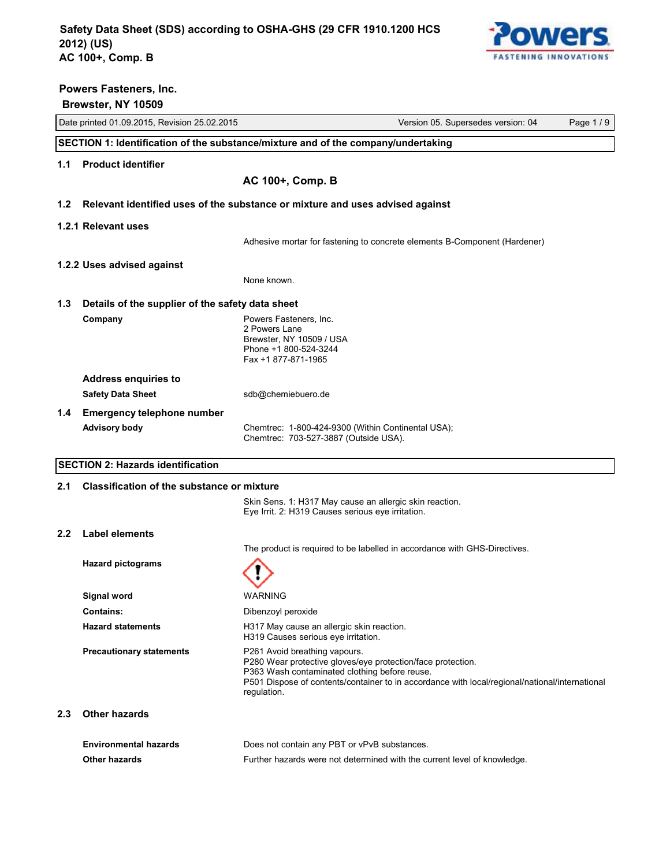

# Date printed 01.09.2015, Revision 25.02.2015 Version 05. Supersedes version: 04 Page 1 / 9  **Brewster, NY 10509 SECTION 1: Identification of the substance/mixture and of the company/undertaking 1.1 Product identifier AC 100+, Comp. B 1.2 Relevant identified uses of the substance or mixture and uses advised against 1.2.1 Relevant uses** Adhesive mortar for fastening to concrete elements B-Component (Hardener) **1.2.2 Uses advised against** None known. **1.3 Details of the supplier of the safety data sheet Company Company Powers Fasteners, Inc.** 2 Powers Lane Brewster, NY 10509 / USA Phone +1 800-524-3244 Fax +1 877-871-1965 **Address enquiries to** Safety Data Sheet sdb@chemiebuero.de **1.4 Emergency telephone number** Advisory body **Chemtrec: 1-800-424-9300 (Within Continental USA)**; Chemtrec: 703-527-3887 (Outside USA). **SECTION 2: Hazards identification 2.1 Classification of the substance or mixture** Skin Sens. 1: H317 May cause an allergic skin reaction. Eye Irrit. 2: H319 Causes serious eye irritation. **2.2 Label elements** The product is required to be labelled in accordance with GHS-Directives. **Hazard pictograms Signal word** WARNING **Contains:** Dibenzoyl peroxide Hazard statements **H317 May cause an allergic skin reaction.** H319 Causes serious eye irritation. **Precautionary statements** P261 Avoid breathing vapours. P280 Wear protective gloves/eye protection/face protection. P363 Wash contaminated clothing before reuse. P501 Dispose of contents/container to in accordance with local/regional/national/international

# **2.3 Other hazards**

**Powers Fasteners, Inc.**

| Environmental hazards | Does not contain any PBT or vPvB substances.                             |
|-----------------------|--------------------------------------------------------------------------|
| <b>Other hazards</b>  | Further hazards were not determined with the current level of knowledge. |

regulation.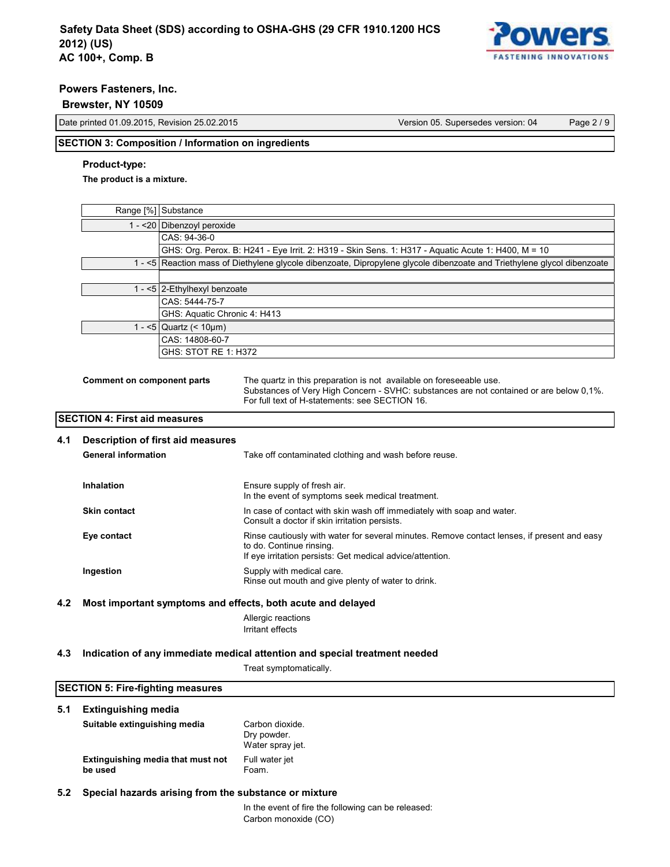

### **Brewster, NY 10509**

Date printed 01.09.2015, Revision 25.02.2015 Version 05. Supersedes version: 04 Page 2 / 9

# **SECTION 3: Composition / Information on ingredients**

# **Product-type:**

**The product is a mixture.**

| Range [%] Substance                                                                                                     |
|-------------------------------------------------------------------------------------------------------------------------|
| 1 - < 20 Dibenzoyl peroxide                                                                                             |
| CAS: 94-36-0                                                                                                            |
| GHS: Org. Perox. B: H241 - Eye Irrit. 2: H319 - Skin Sens. 1: H317 - Aquatic Acute 1: H400, M = 10                      |
| 1 - <5 Reaction mass of Diethylene glycole dibenzoate, Dipropylene glycole dibenzoate and Triethylene glycol dibenzoate |
|                                                                                                                         |
| 1 - <5 $ 2$ -Ethylhexyl benzoate                                                                                        |
| CAS: 5444-75-7                                                                                                          |
| GHS: Aquatic Chronic 4: H413                                                                                            |
| 1 - <5   Quartz $(< 10 \mu m)$                                                                                          |
| CAS: 14808-60-7                                                                                                         |
| GHS: STOT RE 1: H372                                                                                                    |
|                                                                                                                         |

**Comment on component parts** The quartz in this preparation is not available on foreseeable use. Substances of Very High Concern - SVHC: substances are not contained or are below 0,1%. For full text of H-statements: see SECTION 16.

# **SECTION 4: First aid measures**

### **4.1 Description of first aid measures**

| <b>General information</b> | Take off contaminated clothing and wash before reuse.                                                                                                                                |
|----------------------------|--------------------------------------------------------------------------------------------------------------------------------------------------------------------------------------|
| Inhalation                 | Ensure supply of fresh air.<br>In the event of symptoms seek medical treatment.                                                                                                      |
| <b>Skin contact</b>        | In case of contact with skin wash off immediately with soap and water.<br>Consult a doctor if skin irritation persists.                                                              |
| Eye contact                | Rinse cautiously with water for several minutes. Remove contact lenses, if present and easy<br>to do. Continue rinsing.<br>If eye irritation persists: Get medical advice/attention. |
| Ingestion                  | Supply with medical care.<br>Rinse out mouth and give plenty of water to drink.                                                                                                      |

### **4.2 Most important symptoms and effects, both acute and delayed**

Allergic reactions Irritant effects

#### **4.3 Indication of any immediate medical attention and special treatment needed**

Treat symptomatically.

# **SECTION 5: Fire-fighting measures 5.1 Extinguishing media Suitable extinguishing media** Carbon dioxide. Dry powder. Water spray jet. **Extinguishing media that must not be used** Full water jet Foam. **5.2 Special hazards arising from the substance or mixture** In the event of fire the following can be released: Carbon monoxide (CO)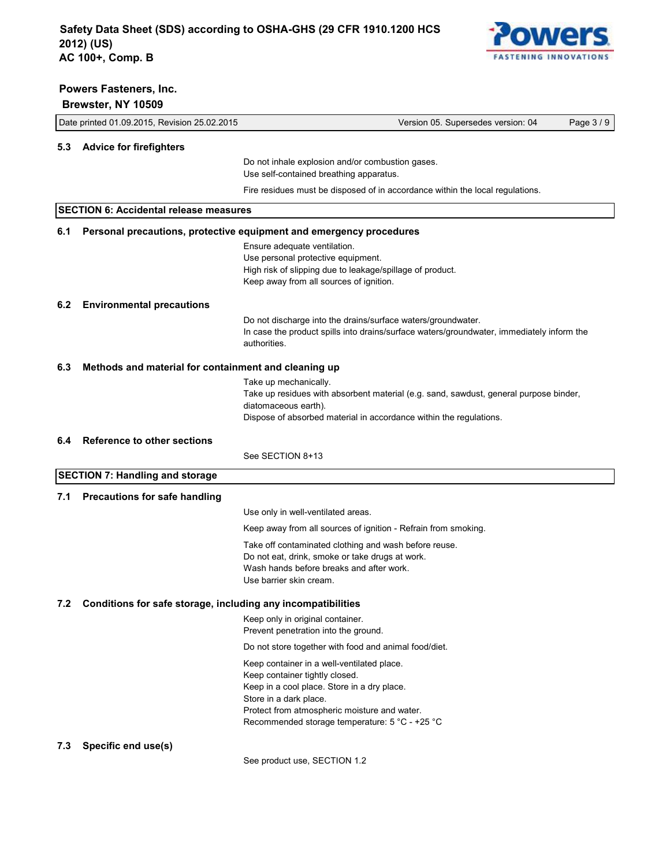

|     | Brewster, NY 10509                                           |                                                                                                                                                                                                                                                         |            |
|-----|--------------------------------------------------------------|---------------------------------------------------------------------------------------------------------------------------------------------------------------------------------------------------------------------------------------------------------|------------|
|     | Date printed 01.09.2015, Revision 25.02.2015                 | Version 05. Supersedes version: 04                                                                                                                                                                                                                      | Page 3 / 9 |
|     | 5.3 Advice for firefighters                                  |                                                                                                                                                                                                                                                         |            |
|     |                                                              | Do not inhale explosion and/or combustion gases.<br>Use self-contained breathing apparatus.                                                                                                                                                             |            |
|     |                                                              | Fire residues must be disposed of in accordance within the local regulations.                                                                                                                                                                           |            |
|     | <b>SECTION 6: Accidental release measures</b>                |                                                                                                                                                                                                                                                         |            |
| 6.1 |                                                              | Personal precautions, protective equipment and emergency procedures                                                                                                                                                                                     |            |
|     |                                                              | Ensure adequate ventilation.<br>Use personal protective equipment.<br>High risk of slipping due to leakage/spillage of product.<br>Keep away from all sources of ignition.                                                                              |            |
| 6.2 | <b>Environmental precautions</b>                             |                                                                                                                                                                                                                                                         |            |
|     |                                                              | Do not discharge into the drains/surface waters/groundwater.<br>In case the product spills into drains/surface waters/groundwater, immediately inform the<br>authorities.                                                                               |            |
| 6.3 | Methods and material for containment and cleaning up         |                                                                                                                                                                                                                                                         |            |
|     |                                                              | Take up mechanically.<br>Take up residues with absorbent material (e.g. sand, sawdust, general purpose binder,<br>diatomaceous earth).<br>Dispose of absorbed material in accordance within the regulations.                                            |            |
| 6.4 | <b>Reference to other sections</b>                           |                                                                                                                                                                                                                                                         |            |
|     |                                                              | See SECTION 8+13                                                                                                                                                                                                                                        |            |
|     | <b>SECTION 7: Handling and storage</b>                       |                                                                                                                                                                                                                                                         |            |
| 7.1 | <b>Precautions for safe handling</b>                         |                                                                                                                                                                                                                                                         |            |
|     |                                                              | Use only in well-ventilated areas.                                                                                                                                                                                                                      |            |
|     |                                                              | Keep away from all sources of ignition - Refrain from smoking.                                                                                                                                                                                          |            |
|     |                                                              | Take off contaminated clothing and wash before reuse.<br>Do not eat, drink, smoke or take drugs at work.<br>Wash hands before breaks and after work.<br>Use barrier skin cream.                                                                         |            |
| 7.2 | Conditions for safe storage, including any incompatibilities |                                                                                                                                                                                                                                                         |            |
|     |                                                              | Keep only in original container.<br>Prevent penetration into the ground.                                                                                                                                                                                |            |
|     |                                                              | Do not store together with food and animal food/diet.                                                                                                                                                                                                   |            |
|     |                                                              | Keep container in a well-ventilated place.<br>Keep container tightly closed.<br>Keep in a cool place. Store in a dry place.<br>Store in a dark place.<br>Protect from atmospheric moisture and water.<br>Recommended storage temperature: 5 °C - +25 °C |            |
| 7.3 | Specific end use(s)                                          |                                                                                                                                                                                                                                                         |            |
|     |                                                              | See product use, SECTION 1.2                                                                                                                                                                                                                            |            |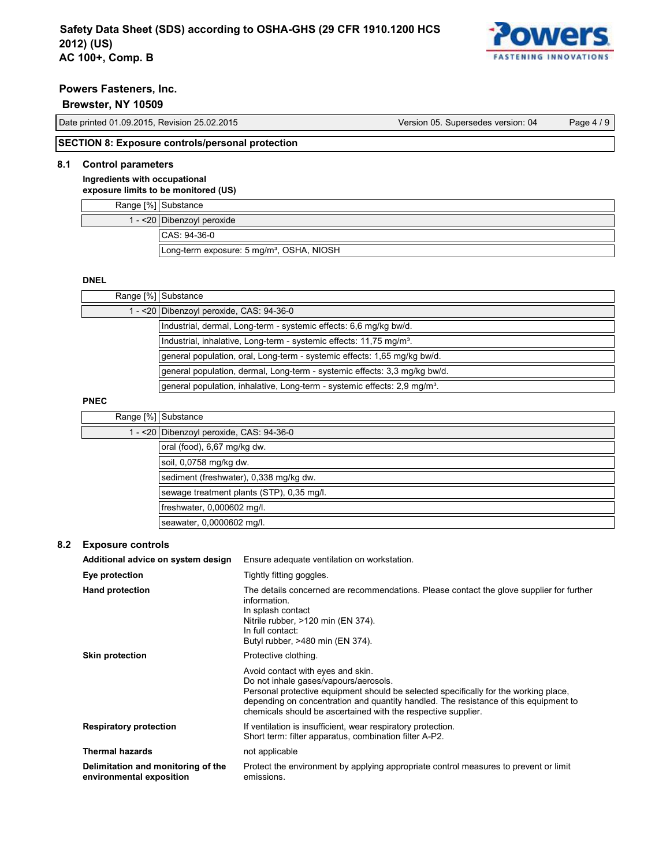

# **Brewster, NY 10509**

Date printed 01.09.2015, Revision 25.02.2015 Version 05. Supersedes version: 04 Page 4 / 9

# **SECTION 8: Exposure controls/personal protection**

# **8.1 Control parameters**

**Ingredients with occupational exposure limits to be monitored (US)**

| Range [%] Substance                                   |
|-------------------------------------------------------|
| 1 - < 20   Dibenzoyl peroxide                         |
| $CAS: 94-36-0$                                        |
| Long-term exposure: 5 mg/m <sup>3</sup> , OSHA, NIOSH |

### **DNEL**

| Range [%] Substance                                                                   |
|---------------------------------------------------------------------------------------|
| 1 - < 20 Dibenzoyl peroxide, CAS: 94-36-0                                             |
| Industrial, dermal, Long-term - systemic effects: 6,6 mg/kg bw/d.                     |
| Industrial, inhalative, Long-term - systemic effects: 11,75 mg/m <sup>3</sup> .       |
| general population, oral, Long-term - systemic effects: 1,65 mg/kg bw/d.              |
| general population, dermal, Long-term - systemic effects: 3.3 mg/kg bw/d.             |
| general population, inhalative, Long-term - systemic effects: 2.9 mg/m <sup>3</sup> . |

# **PNEC**

| Range [%] Substance                       |                                           |
|-------------------------------------------|-------------------------------------------|
|                                           | 1 - < 20 Dibenzoyl peroxide, CAS: 94-36-0 |
|                                           | oral (food), 6,67 mg/kg dw.               |
|                                           | soil, 0,0758 mg/kg dw.                    |
| sediment (freshwater), 0,338 mg/kg dw.    |                                           |
| sewage treatment plants (STP), 0,35 mg/l. |                                           |
| freshwater, 0,000602 mg/l.                |                                           |
|                                           | seawater, 0,0000602 mg/l.                 |

#### **8.2 Exposure controls**

| Additional advice on system design                             | Ensure adequate ventilation on workstation.                                                                                                                                                                                                                                                                                 |
|----------------------------------------------------------------|-----------------------------------------------------------------------------------------------------------------------------------------------------------------------------------------------------------------------------------------------------------------------------------------------------------------------------|
| Eye protection                                                 | Tightly fitting goggles.                                                                                                                                                                                                                                                                                                    |
| <b>Hand protection</b>                                         | The details concerned are recommendations. Please contact the glove supplier for further<br>information.<br>In splash contact<br>Nitrile rubber, >120 min (EN 374).<br>In full contact:<br>Butyl rubber, >480 min (EN 374).                                                                                                 |
| <b>Skin protection</b>                                         | Protective clothing.                                                                                                                                                                                                                                                                                                        |
|                                                                | Avoid contact with eyes and skin.<br>Do not inhale gases/vapours/aerosols.<br>Personal protective equipment should be selected specifically for the working place,<br>depending on concentration and quantity handled. The resistance of this equipment to<br>chemicals should be ascertained with the respective supplier. |
| <b>Respiratory protection</b>                                  | If ventilation is insufficient, wear respiratory protection.<br>Short term: filter apparatus, combination filter A-P2.                                                                                                                                                                                                      |
| <b>Thermal hazards</b>                                         | not applicable                                                                                                                                                                                                                                                                                                              |
| Delimitation and monitoring of the<br>environmental exposition | Protect the environment by applying appropriate control measures to prevent or limit<br>emissions.                                                                                                                                                                                                                          |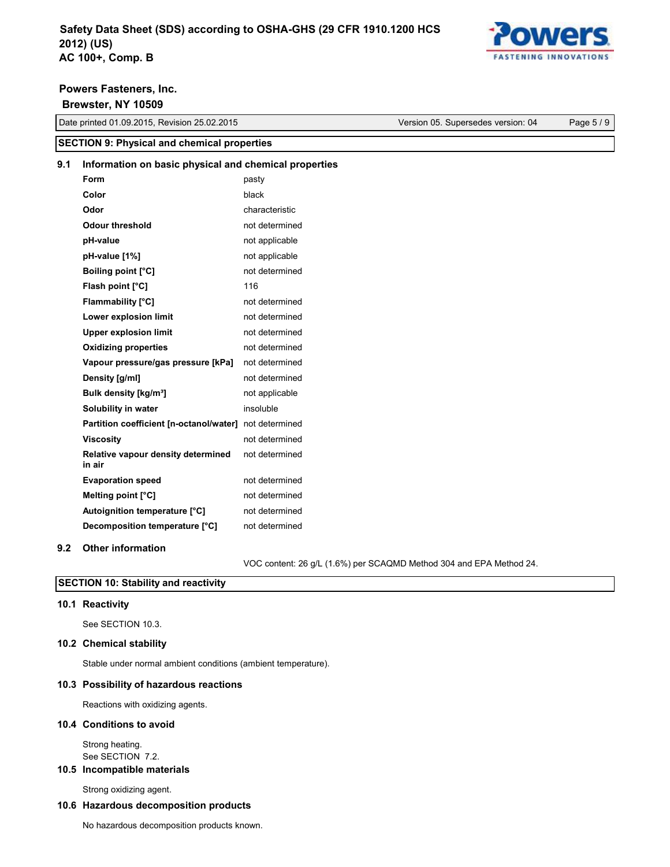

# Powers Fasteners, Inc. **Example 20** No. 2014 19:30 19:30 19:30 19:30 19:30 19:30 19:30 19:30 19:30 19:30 19:30

|     | Date printed 01.09.2015, Revision 25.02.2015           |                | Version 05. Supersedes version: 04 | Page 5 / 9 |
|-----|--------------------------------------------------------|----------------|------------------------------------|------------|
|     | <b>SECTION 9: Physical and chemical properties</b>     |                |                                    |            |
| 9.1 | Information on basic physical and chemical properties  |                |                                    |            |
|     | Form                                                   | pasty          |                                    |            |
|     | Color                                                  | black          |                                    |            |
|     | Odor                                                   | characteristic |                                    |            |
|     | <b>Odour threshold</b>                                 | not determined |                                    |            |
|     | pH-value                                               | not applicable |                                    |            |
|     | pH-value [1%]                                          | not applicable |                                    |            |
|     | <b>Boiling point [°C]</b>                              | not determined |                                    |            |
|     | Flash point [°C]                                       | 116            |                                    |            |
|     | <b>Flammability</b> [°C]                               | not determined |                                    |            |
|     | Lower explosion limit                                  | not determined |                                    |            |
|     | <b>Upper explosion limit</b>                           | not determined |                                    |            |
|     | <b>Oxidizing properties</b>                            | not determined |                                    |            |
|     | Vapour pressure/gas pressure [kPa]                     | not determined |                                    |            |
|     | Density [g/ml]                                         | not determined |                                    |            |
|     | Bulk density [kg/m <sup>3</sup> ]                      | not applicable |                                    |            |
|     | Solubility in water                                    | insoluble      |                                    |            |
|     | Partition coefficient [n-octanol/water] not determined |                |                                    |            |
|     | <b>Viscosity</b>                                       | not determined |                                    |            |
|     | Relative vapour density determined<br>in air           | not determined |                                    |            |
|     | <b>Evaporation speed</b>                               | not determined |                                    |            |
|     | Melting point [°C]                                     | not determined |                                    |            |
|     | Autoignition temperature [°C]                          | not determined |                                    |            |
|     | Decomposition temperature [°C]                         | not determined |                                    |            |
| 9.2 | <b>Other information</b>                               |                |                                    |            |

VOC content: 26 g/L (1.6%) per SCAQMD Method 304 and EPA Method 24.

# **SECTION 10: Stability and reactivity SECTION 10: Stability and reactivity SECTION 10: Stability and reactivity SECTION 10: Stability and reactivity 10.1 Reactivity** See SECTION 1

# **10.1 Reactivity**

See SECTION 10.3. See SECTION 10.3. See SECTION 10.3. See SECTION 10.3. **10.2 Chemical stability 10.2 Chemical stability**

# **10.2 Chemical stability 10.2 Chemical stability 10.2 Chemical stability 10.2 Chemical stability** Stable under normal ambient conditions (ambient temperature).

Stable under normal ambient conditions (ambient temperature).

# 10.3 Possibility of hazardous reactions

Reactions with oxidizing agents. Reactions with oxidizing agents. Reactions with oxidizing agents. Reactions with oxidizing agents. **10.4 Conditions to avoid 10.4 Conditions to avoid**

# **10.4 Conditions to avoid 10.4 Conditions to avoid 10.4 Conditions to avoid** Strong heating. Strong heating.

onong hoating.<br>See SECTION Strong heating. See SECTION 7.2. See SECTION 7.2.

# See SECTION 7.2. See SECTION 7.2. **10.5 Incompatible materials 10.5 Incompatible materials**

**10.5 Incompatible materials** 

# Strong oxidizing agent. Strong oxidizing agent. Strong oxidizing agent. **10.6 Hazardous decomposition products 10.6 Hazardous decomposition products**

**10.6 Hazardous decomposition products 10.6 Hazardous decomposition products** No hazardous decomposition products known. No hazardous decomposition products known.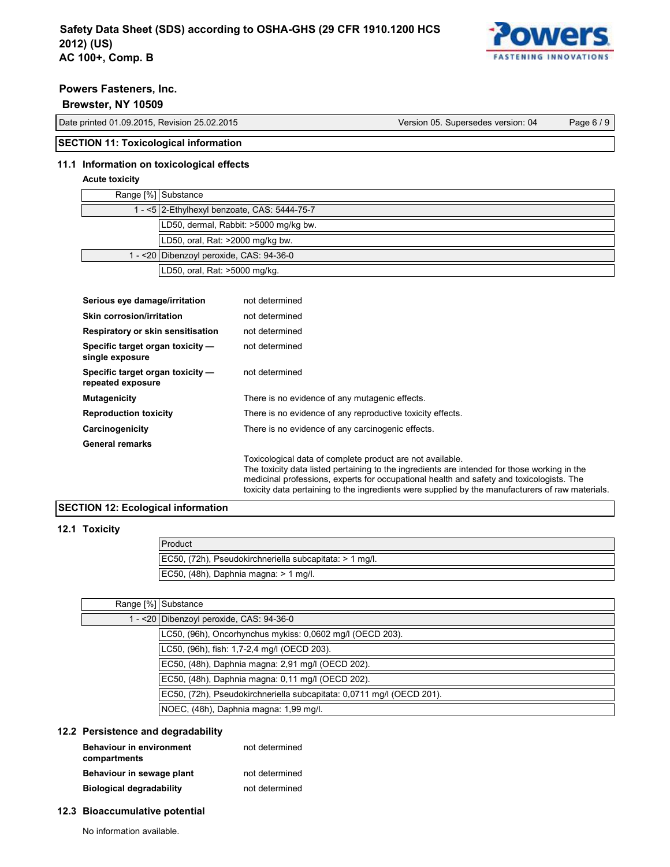

# **Brewster, NY 10509 Date printed 01.09.2015, Revision 25.02.2015 Version 25.02.2015**

| Date printed 01.09.2015, Revision 25.02.2015 | Version 05. Supersedes version: 04 | Page 6/9 |
|----------------------------------------------|------------------------------------|----------|

# **SECTION 11: Toxicological information**

# **11.1 Information on toxicological effects**

# Acute toxicity

| Range [%] Substance                          |
|----------------------------------------------|
| 1 - <5 2-Ethylhexyl benzoate, CAS: 5444-75-7 |
| LD50, dermal, Rabbit: >5000 mg/kg bw.        |
| LD50, oral, Rat: >2000 mg/kg bw.             |
| 1 - <20 Dibenzoyl peroxide, CAS: 94-36-0     |
| LD50, oral, Rat: >5000 mg/kg.                |

| Serious eye damage/irritation                         | not determined                                                                                                                                                                                                                                        |
|-------------------------------------------------------|-------------------------------------------------------------------------------------------------------------------------------------------------------------------------------------------------------------------------------------------------------|
| Skin corrosion/irritation                             | not determined                                                                                                                                                                                                                                        |
| Respiratory or skin sensitisation                     | not determined                                                                                                                                                                                                                                        |
| Specific target organ toxicity -<br>single exposure   | not determined                                                                                                                                                                                                                                        |
| Specific target organ toxicity -<br>repeated exposure | not determined                                                                                                                                                                                                                                        |
| <b>Mutagenicity</b>                                   | There is no evidence of any mutagenic effects.                                                                                                                                                                                                        |
| <b>Reproduction toxicity</b>                          | There is no evidence of any reproductive toxicity effects.                                                                                                                                                                                            |
| Carcinogenicity                                       | There is no evidence of any carcinogenic effects.                                                                                                                                                                                                     |
| <b>General remarks</b>                                |                                                                                                                                                                                                                                                       |
|                                                       | Toxicological data of complete product are not available.<br>The toxicity data listed pertaining to the ingredients are intended for those working in the<br>medicinal professions, experts for occupational health and safety and toxicologists. The |

# **SECTION 12: Ecological information**

# **12.1 Toxicity**

| Product                                                 |
|---------------------------------------------------------|
| EC50, (72h), Pseudokirchneriella subcapitata: > 1 mg/l. |
| $ EC50, (48h), Daphnia magna: > 1 mg/l.$                |

toxicity data pertaining to the ingredients were supplied by the manufacturers of raw materials.

# Range [%] Substance

| $-$ <20 Dibenzoyl peroxide, CAS: 94-36-0                              |
|-----------------------------------------------------------------------|
| LC50, (96h), Oncorhynchus mykiss: 0,0602 mg/l (OECD 203).             |
| LC50, (96h), fish: 1,7-2,4 mg/l (OECD 203).                           |
| EC50, (48h), Daphnia magna: 2,91 mg/l (OECD 202).                     |
| EC50, (48h), Daphnia magna: 0,11 mg/l (OECD 202).                     |
| EC50, (72h), Pseudokirchneriella subcapitata: 0,0711 mg/l (OECD 201). |
| NOEC, (48h), Daphnia magna: 1,99 mg/l.                                |

# **12.2 Persistence and degradability**

| Behaviour in environment<br>compartments | not determined |
|------------------------------------------|----------------|
| Behaviour in sewage plant                | not determined |
| <b>Biological degradability</b>          | not determined |
|                                          |                |

# **Biological degradability** not determined **12.3 Bioaccumulative potential**

No information available.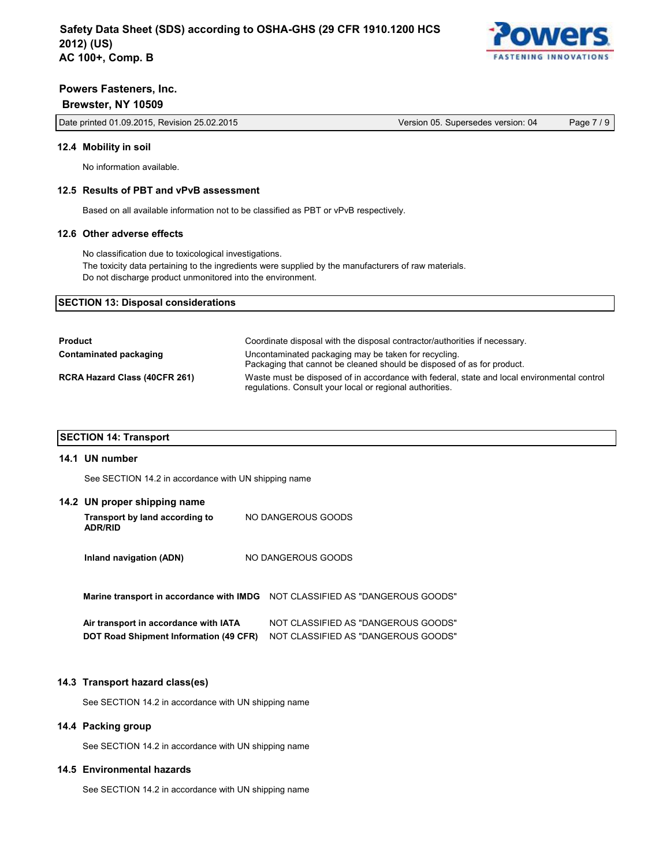

# **Brewster, NY 10509**

Date printed 01.09.2015, Revision 25.02.2015 Version 05. Supersedes version: 04 Page 7 / 9

#### **12.4 Mobility in soil**

No information available.

#### **12.5 Results of PBT and vPvB assessment**

Based on all available information not to be classified as PBT or vPvB respectively.

### **12.6 Other adverse effects**

No classification due to toxicological investigations.

The toxicity data pertaining to the ingredients were supplied by the manufacturers of raw materials. Do not discharge product unmonitored into the environment.

#### **SECTION 13: Disposal considerations**

| <b>Product</b>                       | Coordinate disposal with the disposal contractor/authorities if necessary.                                                                              |
|--------------------------------------|---------------------------------------------------------------------------------------------------------------------------------------------------------|
| Contaminated packaging               | Uncontaminated packaging may be taken for recycling.<br>Packaging that cannot be cleaned should be disposed of as for product.                          |
| <b>RCRA Hazard Class (40CFR 261)</b> | Waste must be disposed of in accordance with federal, state and local environmental control<br>regulations. Consult your local or regional authorities. |

# **SECTION 14: Transport**

#### **14.1 UN number**

See SECTION 14.2 in accordance with UN shipping name

#### **14.2 UN proper shipping name**

| Transport by land according to<br><b>ADR/RID</b> | NO DANGEROUS GOODS |
|--------------------------------------------------|--------------------|
| Inland navigation (ADN)                          | NO DANGEROUS GOODS |

**Marine transport in accordance with IMDG** NOT CLASSIFIED AS "DANGEROUS GOODS"

| Air transport in accordance with IATA | NOT CLASSIFIED AS "DANGEROUS GOODS"                                        |
|---------------------------------------|----------------------------------------------------------------------------|
|                                       | DOT Road Shipment Information (49 CFR) NOT CLASSIFIED AS "DANGEROUS GOODS" |

#### **14.3 Transport hazard class(es)**

See SECTION 14.2 in accordance with UN shipping name

### **14.4 Packing group**

See SECTION 14.2 in accordance with UN shipping name

#### **14.5 Environmental hazards**

See SECTION 14.2 in accordance with UN shipping name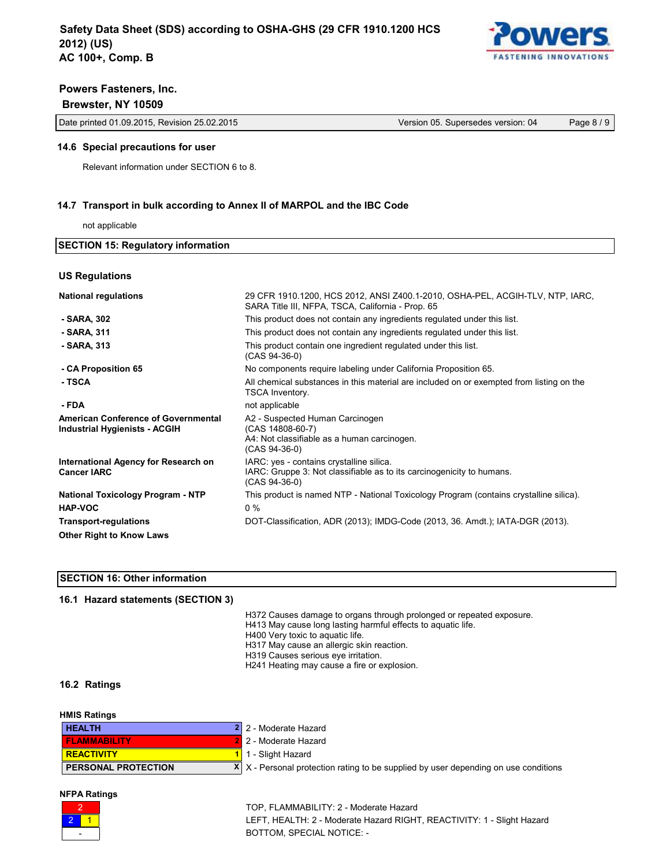

# **Brewster, NY 10509**

Date printed 01.09.2015, Revision 25.02.2015 Version 05. Supersedes version: 04 Page 8 / 9

#### **14.6 Special precautions for user**

Relevant information under SECTION 6 to 8.

# **14.7 Transport in bulk according to Annex II of MARPOL and the IBC Code**

not applicable

| <b>SECTION 15: Regulatory information</b> |                                                                                                                                    |  |  |
|-------------------------------------------|------------------------------------------------------------------------------------------------------------------------------------|--|--|
|                                           |                                                                                                                                    |  |  |
| <b>US Regulations</b>                     |                                                                                                                                    |  |  |
| <b>National regulations</b>               | 29 CFR 1910.1200, HCS 2012, ANSI Z400.1-2010, OSHA-PEL, ACGIH-TLV, NTP, IARC,<br>SARA Title III, NFPA, TSCA, California - Prop. 65 |  |  |
| - SARA, 302                               | This product does not contain any ingredients regulated under this list.                                                           |  |  |
| - SARA, 311                               | This product does not contain any ingredients regulated under this list.                                                           |  |  |
| - SARA 313                                | This product contain one ingredient regulated under this list.<br>(CAS 94-36-0)                                                    |  |  |

 **- CA Proposition 65** No components require labeling under California Proposition 65.

**- TSCA All chemical substances in this material are included on or exempted from listing on the** 

### **- FDA** not applicable

**American Conference of Governmental Industrial Hygienists - ACGIH**

**International Agency for Research on Cancer IARC**

**National Toxicology Program - NTP HAP-VOC Transport-regulations Other Right to Know Laws**

### **SECTION 16: Other information**

# **16.1 Hazard statements (SECTION 3)**

H372 Causes damage to organs through prolonged or repeated exposure.

IARC: Gruppe 3: Not classifiable as to its carcinogenicity to humans.

This product is named NTP - National Toxicology Program (contains crystalline silica).

DOT-Classification, ADR (2013); IMDG-Code (2013, 36. Amdt.); IATA-DGR (2013).

- H413 May cause long lasting harmful effects to aquatic life.
- H400 Very toxic to aquatic life.

TSCA Inventory.

(CAS 14808-60-7)

(CAS 94-36-0)

(CAS 94-36-0)

0 %

A2 - Suspected Human Carcinogen

IARC: yes - contains crystalline silica.

A4: Not classifiable as a human carcinogen.

- H317 May cause an allergic skin reaction.
- H319 Causes serious eye irritation.
- H241 Heating may cause a fire or explosion.

# **16.2 Ratings**

| <b>HMIS Ratings</b>        |                                                                                            |
|----------------------------|--------------------------------------------------------------------------------------------|
| <b>HEALTH</b>              | 2 2 - Moderate Hazard                                                                      |
| <b>FLAMMABILITY</b>        | 2 2 - Moderate Hazard                                                                      |
| <b>REACTIVITY</b>          | 1 1 - Slight Hazard                                                                        |
| <b>PERSONAL PROTECTION</b> | $X \mid X$ - Personal protection rating to be supplied by user depending on use conditions |

#### **NFPA Ratings**



TOP, FLAMMABILITY: 2 - Moderate Hazard LEFT, HEALTH: 2 - Moderate Hazard RIGHT, REACTIVITY: 1 - Slight Hazard BOTTOM, SPECIAL NOTICE: -